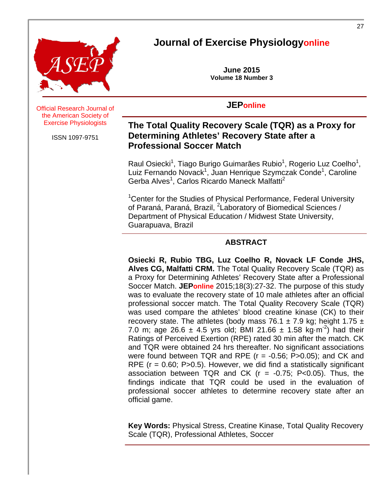

# **Journal of Exercise Physiologyonline**

**June 2015 Volume 18 Number 3**

# **JEPonline**

**Official Research Journal of** the American Society of Exercise Physiologists

ISSN 1097-9751

# **The Total Quality Recovery Scale (TQR) as a Proxy for Determining Athletes' Recovery State after a Professional Soccer Match**

Raul Osiecki<sup>1</sup>, Tiago Burigo Guimarães Rubio<sup>1</sup>, Rogerio Luz Coelho<sup>1</sup>, Luiz Fernando Novack<sup>1</sup>, Juan Henrique Szymczak Conde<sup>1</sup>, Caroline Gerba Alves<sup>1</sup>, Carlos Ricardo Maneck Malfatti<sup>2</sup>

<sup>1</sup>Center for the Studies of Physical Performance, Federal University of Paraná, Paraná, Brazil, <sup>2</sup>Laboratory of Biomedical Sciences / Department of Physical Education / Midwest State University, Guarapuava, Brazil

# **ABSTRACT**

**Osiecki R, Rubio TBG, Luz Coelho R, Novack LF Conde JHS, Alves CG, Malfatti CRM.** The Total Quality Recovery Scale (TQR) as a Proxy for Determining Athletes' Recovery State after a Professional Soccer Match. **JEPonline** 2015;18(3):27-32. The purpose of this study was to evaluate the recovery state of 10 male athletes after an official professional soccer match. The Total Quality Recovery Scale (TQR) was used compare the athletes' blood creatine kinase (CK) to their recovery state. The athletes (body mass 76.1  $\pm$  7.9 kg; height 1.75  $\pm$ 7.0 m; age 26.6  $\pm$  4.5 yrs old; BMI 21.66  $\pm$  1.58 kg·m<sup>-2</sup>) had their Ratings of Perceived Exertion (RPE) rated 30 min after the match. CK and TQR were obtained 24 hrs thereafter. No significant associations were found between TQR and RPE  $(r = -0.56; P > 0.05)$ ; and CK and RPE ( $r = 0.60$ ; P $>0.5$ ). However, we did find a statistically significant association between TQR and CK  $(r = -0.75; P < 0.05)$ . Thus, the findings indicate that TQR could be used in the evaluation of professional soccer athletes to determine recovery state after an official game.

**Key Words:** Physical Stress, Creatine Kinase, Total Quality Recovery Scale (TQR), Professional Athletes, Soccer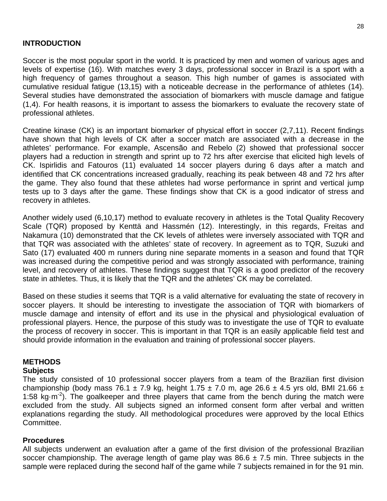### **INTRODUCTION**

Soccer is the most popular sport in the world. It is practiced by men and women of various ages and levels of expertise (16). With matches every 3 days, professional soccer in Brazil is a sport with a high frequency of games throughout a season. This high number of games is associated with cumulative residual fatigue (13,15) with a noticeable decrease in the performance of athletes (14). Several studies have demonstrated the association of biomarkers with muscle damage and fatigue (1,4). For health reasons, it is important to assess the biomarkers to evaluate the recovery state of professional athletes.

Creatine kinase (CK) is an important biomarker of physical effort in soccer (2,7,11). Recent findings have shown that high levels of CK after a soccer match are associated with a decrease in the athletes' performance. For example, Ascensão and Rebelo (2) showed that professional soccer players had a reduction in strength and sprint up to 72 hrs after exercise that elicited high levels of CK. Ispirlidis and Fatouros (11) evaluated 14 soccer players during 6 days after a match and identified that CK concentrations increased gradually, reaching its peak between 48 and 72 hrs after the game. They also found that these athletes had worse performance in sprint and vertical jump tests up to 3 days after the game. These findings show that CK is a good indicator of stress and recovery in athletes.

Another widely used (6,10,17) method to evaluate recovery in athletes is the Total Quality Recovery Scale (TQR) proposed by Kenttä and Hassmén (12). Interestingly, in this regards, Freitas and Nakamura (10) demonstrated that the CK levels of athletes were inversely associated with TQR and that TQR was associated with the athletes' state of recovery. In agreement as to TQR, Suzuki and Sato (17) evaluated 400 m runners during nine separate moments in a season and found that TQR was increased during the competitive period and was strongly associated with performance, training level, and recovery of athletes. These findings suggest that TQR is a good predictor of the recovery state in athletes. Thus, it is likely that the TQR and the athletes' CK may be correlated.

Based on these studies it seems that TQR is a valid alternative for evaluating the state of recovery in soccer players. It should be interesting to investigate the association of TQR with biomarkers of muscle damage and intensity of effort and its use in the physical and physiological evaluation of professional players. Hence, the purpose of this study was to investigate the use of TQR to evaluate the process of recovery in soccer. This is important in that TQR is an easily applicable field test and should provide information in the evaluation and training of professional soccer players.

### **METHODS**

#### **Subjects**

The study consisted of 10 professional soccer players from a team of the Brazilian first division championship (body mass 76.1  $\pm$  7.9 kg, height 1.75  $\pm$  7.0 m, age 26.6  $\pm$  4.5 yrs old, BMI 21.66  $\pm$ 1:58 kg $\cdot$ m<sup>-2</sup>). The goalkeeper and three players that came from the bench during the match were excluded from the study. All subjects signed an informed consent form after verbal and written explanations regarding the study. All methodological procedures were approved by the local Ethics **Committee.** 

#### **Procedures**

All subjects underwent an evaluation after a game of the first division of the professional Brazilian soccer championship. The average length of game play was  $86.6 \pm 7.5$  min. Three subjects in the sample were replaced during the second half of the game while 7 subjects remained in for the 91 min.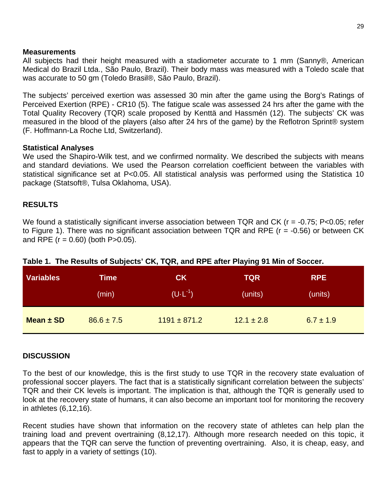#### **Measurements**

All subjects had their height measured with a stadiometer accurate to 1 mm (Sanny®, American Medical do Brazil Ltda., São Paulo, Brazil). Their body mass was measured with a Toledo scale that was accurate to 50 gm (Toledo Brasil®, São Paulo, Brazil).

The subjects' perceived exertion was assessed 30 min after the game using the Borg's Ratings of Perceived Exertion (RPE) - CR10 (5). The fatigue scale was assessed 24 hrs after the game with the Total Quality Recovery (TQR) scale proposed by Kenttä and Hassmén (12). The subjects' CK was measured in the blood of the players (also after 24 hrs of the game) by the Reflotron Sprint® system (F. Hoffmann-La Roche Ltd, Switzerland).

### **Statistical Analyses**

We used the Shapiro-Wilk test, and we confirmed normality. We described the subjects with means and standard deviations. We used the Pearson correlation coefficient between the variables with statistical significance set at P<0.05. All statistical analysis was performed using the Statistica 10 package (Statsoft®, Tulsa Oklahoma, USA).

# **RESULTS**

We found a statistically significant inverse association between TQR and CK (r = -0.75; P<0.05; refer to Figure 1). There was no significant association between TQR and RPE (r = -0.56) or between CK and RPE  $(r = 0.60)$  (both P>0.05).

| <b>Variables</b> | <b>Time</b>    | CK                           | TQR            | <b>RPE</b>    |  |
|------------------|----------------|------------------------------|----------------|---------------|--|
|                  | (min)          | $(U \cdot L^{-1})^{\dagger}$ | (units)        | (units)       |  |
| Mean $\pm$ SD    | $86.6 \pm 7.5$ | $1191 \pm 871.2$             | $12.1 \pm 2.8$ | $6.7 \pm 1.9$ |  |

### **Table 1. The Results of Subjects' CK, TQR, and RPE after Playing 91 Min of Soccer.**

### **DISCUSSION**

To the best of our knowledge, this is the first study to use TQR in the recovery state evaluation of professional soccer players. The fact that is a statistically significant correlation between the subjects' TQR and their CK levels is important. The implication is that, although the TQR is generally used to look at the recovery state of humans, it can also become an important tool for monitoring the recovery in athletes [\(6,](#page-4-0)[12](#page-5-0)[,16\)](#page-5-1).

Recent studies have shown that information on the recovery state of athletes can help plan the training load and prevent overtraining [\(8,](#page-4-1)[12,](#page-5-0)[17\)](#page-5-2). Although more research needed on this topic, it appears that the TQR can serve the function of preventing overtraining. Also, it is cheap, easy, and fast to apply in a variety of settings [\(10\)](#page-5-3).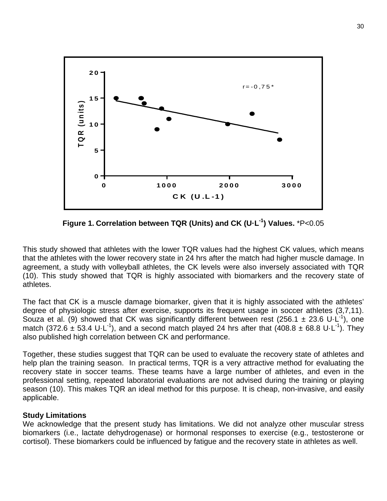

**Figure 1. Correlation between TQR (Units) and CK (U·L-1 ) Values.** \*P<0.05

This study showed that athletes with the lower TQR values had the highest CK values, which means that the athletes with the lower recovery state in 24 hrs after the match had higher muscle damage. In agreement, a study with volleyball athletes, the CK levels were also inversely associated with TQR [\(10\)](#page-5-3). This study showed that TQR is highly associated with biomarkers and the recovery state of athletes.

The fact that CK is a muscle damage biomarker, given that it is highly associated with the athletes' degree of physiologic stress after exercise, supports its frequent usage in soccer athletes [\(3](#page-4-2)[,7](#page-4-3)[,11\)](#page-5-4). Souza et al. [\(9\)](#page-4-4) showed that CK was significantly different between rest (256.1  $\pm$  23.6 U·L<sup>-1</sup>), one match (372.6  $\pm$  53.4 U·L<sup>-1</sup>), and a second match played 24 hrs after that (408.8  $\pm$  68.8 U·L<sup>-1</sup>). They also published high correlation between CK and performance.

Together, these studies suggest that TQR can be used to evaluate the recovery state of athletes and help plan the training season. In practical terms, TQR is a very attractive method for evaluating the recovery state in soccer teams. These teams have a large number of athletes, and even in the professional setting, repeated laboratorial evaluations are not advised during the training or playing season [\(10\)](#page-5-3). This makes TQR an ideal method for this purpose. It is cheap, non-invasive, and easily applicable.

#### **Study Limitations**

We acknowledge that the present study has limitations. We did not analyze other muscular stress biomarkers (i.e., lactate dehydrogenase) or hormonal responses to exercise (e.g., testosterone or cortisol). These biomarkers could be influenced by fatigue and the recovery state in athletes as well.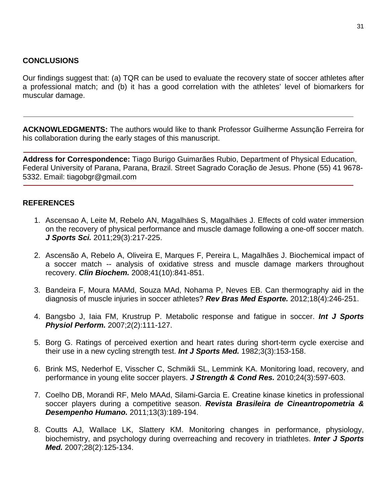## **CONCLUSIONS**

Our findings suggest that: (a) TQR can be used to evaluate the recovery state of soccer athletes after a professional match; and (b) it has a good correlation with the athletes' level of biomarkers for muscular damage.

**ACKNOWLEDGMENTS:** The authors would like to thank Professor Guilherme Assunção Ferreira for his collaboration during the early stages of this manuscript.

**Address for Correspondence:** Tiago Burigo Guimarães Rubio, Department of Physical Education, Federal University of Parana, Parana, Brazil. Street Sagrado Coração de Jesus. Phone (55) 41 9678- 5332. Email: tiagobgr@gmail.com

# **REFERENCES**

- 1. Ascensao A, Leite M, Rebelo AN, Magalhäes S, Magalhäes J. Effects of cold water immersion on the recovery of physical performance and muscle damage following a one-off soccer match. *J Sports Sci.* 2011;29(3):217-225.
- <span id="page-4-2"></span>2. Ascensão A, Rebelo A, Oliveira E, Marques F, Pereira L, Magalhães J. Biochemical impact of a soccer match -- analysis of oxidative stress and muscle damage markers throughout recovery. *Clin Biochem.* 2008;41(10):841-851.
- 3. Bandeira F, Moura MAMd, Souza MAd, Nohama P, Neves EB. Can thermography aid in the diagnosis of muscle injuries in soccer athletes? *Rev Bras Med Esporte.* 2012;18(4):246-251.
- 4. Bangsbo J, Iaia FM, Krustrup P. Metabolic response and fatigue in soccer. *Int J Sports Physiol Perform.* 2007;2(2):111-127.
- <span id="page-4-0"></span>5. Borg G. Ratings of perceived exertion and heart rates during short-term cycle exercise and their use in a new cycling strength test. *Int J Sports Med.* 1982;3(3):153-158.
- <span id="page-4-3"></span>6. Brink MS, Nederhof E, Visscher C, Schmikli SL, Lemmink KA. Monitoring load, recovery, and performance in young elite soccer players. *J Strength & Cond Res.* 2010;24(3):597-603.
- <span id="page-4-1"></span>7. Coelho DB, Morandi RF, Melo MAAd, Silami-Garcia E. Creatine kinase kinetics in professional soccer players during a competitive season. *Revista Brasileira de Cineantropometria & Desempenho Humano.* 2011;13(3):189-194.
- <span id="page-4-4"></span>8. Coutts AJ, Wallace LK, Slattery KM. Monitoring changes in performance, physiology, biochemistry, and psychology during overreaching and recovery in triathletes. *Inter J Sports Med.* 2007;28(2):125-134.